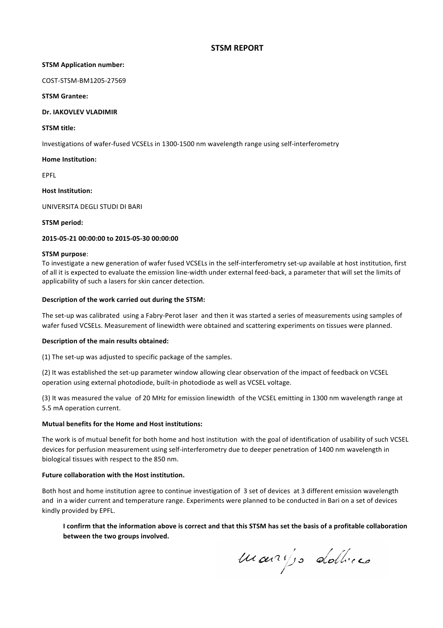## **STSM REPORT**

#### **STSM Application number:**

COST-STSM-BM1205-27569

#### **STSM Grantee:**

## **Dr. IAKOVLEV VLADIMIR**

#### **STSM title:**

Investigations of wafer-fused VCSELs in 1300-1500 nm wavelength range using self-interferometry

#### **Home Institution:**

EPFL

## **Host Institution:**

UNIVERSITA DEGLI STUDI DI BARI

#### **STSM period:**

## **2015-05-21 00:00:00 to 2015-05-30 00:00:00**

#### **STSM purpose**:

To investigate a new generation of wafer fused VCSELs in the self-interferometry set-up available at host institution, first of all it is expected to evaluate the emission line-width under external feed-back, a parameter that will set the limits of applicability of such a lasers for skin cancer detection.

#### **Description of the work carried out during the STSM:**

The set-up was calibrated using a Fabry-Perot laser and then it was started a series of measurements using samples of wafer fused VCSELs. Measurement of linewidth were obtained and scattering experiments on tissues were planned.

## **Description of the main results obtained:**

(1) The set-up was adjusted to specific package of the samples.

(2) It was established the set-up parameter window allowing clear observation of the impact of feedback on VCSEL operation using external photodiode, built-in photodiode as well as VCSEL voltage.

(3) It was measured the value of 20 MHz for emission linewidth of the VCSEL emitting in 1300 nm wavelength range at 5.5 mA operation current.

## **Mutual benefits for the Home and Host institutions:**

The work is of mutual benefit for both home and host institution with the goal of identification of usability of such VCSEL devices for perfusion measurement using self-interferometry due to deeper penetration of 1400 nm wavelength in biological tissues with respect to the 850 nm.

## **Future collaboration with the Host institution.**

Both host and home institution agree to continue investigation of 3 set of devices at 3 different emission wavelength and in a wider current and temperature range. Experiments were planned to be conducted in Bari on a set of devices kindly provided by EPFL.

I confirm that the information above is correct and that this STSM has set the basis of a profitable collaboration **between the two groups involved.** 

marijs dottices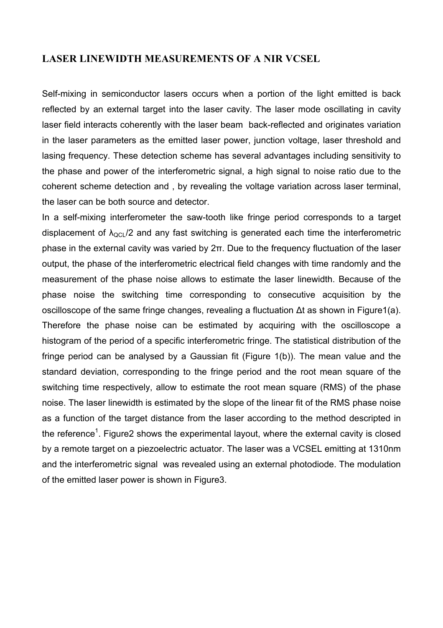# **LASER LINEWIDTH MEASUREMENTS OF A NIR VCSEL**

Self-mixing in semiconductor lasers occurs when a portion of the light emitted is back reflected by an external target into the laser cavity. The laser mode oscillating in cavity laser field interacts coherently with the laser beam back-reflected and originates variation in the laser parameters as the emitted laser power, junction voltage, laser threshold and lasing frequency. These detection scheme has several advantages including sensitivity to the phase and power of the interferometric signal, a high signal to noise ratio due to the coherent scheme detection and , by revealing the voltage variation across laser terminal, the laser can be both source and detector.

In a self-mixing interferometer the saw-tooth like fringe period corresponds to a target displacement of  $\lambda_{\text{QCD}}$  /2 and any fast switching is generated each time the interferometric phase in the external cavity was varied by 2π. Due to the frequency fluctuation of the laser output, the phase of the interferometric electrical field changes with time randomly and the measurement of the phase noise allows to estimate the laser linewidth. Because of the phase noise the switching time corresponding to consecutive acquisition by the oscilloscope of the same fringe changes, revealing a fluctuation Δt as shown in Figure1(a). Therefore the phase noise can be estimated by acquiring with the oscilloscope a histogram of the period of a specific interferometric fringe. The statistical distribution of the fringe period can be analysed by a Gaussian fit (Figure 1(b)). The mean value and the standard deviation, corresponding to the fringe period and the root mean square of the switching time respectively, allow to estimate the root mean square (RMS) of the phase noise. The laser linewidth is estimated by the slope of the linear fit of the RMS phase noise as a function of the target distance from the laser according to the method descripted in the reference<sup>1</sup>. Figure2 shows the experimental layout, where the external cavity is closed by a remote target on a piezoelectric actuator. The laser was a VCSEL emitting at 1310nm and the interferometric signal was revealed using an external photodiode. The modulation of the emitted laser power is shown in Figure3.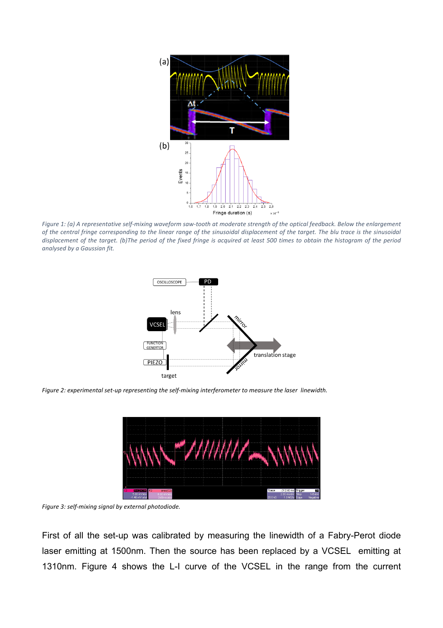

Figure 1: (a) A representative self-mixing waveform saw-tooth at moderate strength of the optical feedback. Below the enlargement of the central fringe corresponding to the linear range of the sinusoidal displacement of the target. The blu trace is the sinusoidal displacement of the target. (b)The period of the fixed fringe is acquired at least 500 times to obtain the histogram of the period analysed by a Gaussian fit.



Figure 2: experimental set-up representing the self-mixing interferometer to measure the laser linewidth.



Figure 3: self-mixing signal by external photodiode.

First of all the set-up was calibrated by measuring the linewidth of a Fabry-Perot diode laser emitting at 1500nm. Then the source has been replaced by a VCSEL emitting at 1310nm. Figure 4 shows the L-I curve of the VCSEL in the range from the current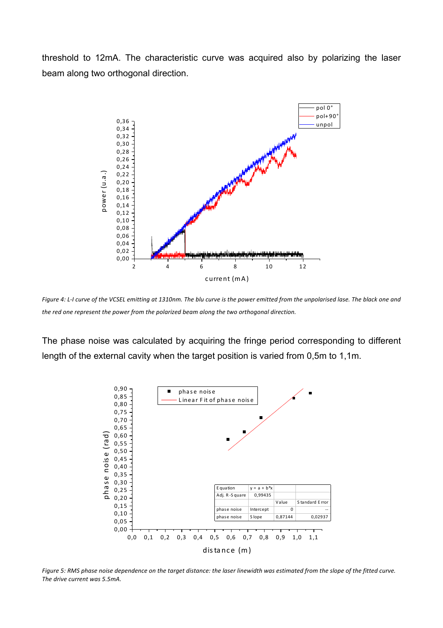threshold to 12mA. The characteristic curve was acquired also by polarizing the laser beam along two orthogonal direction.



Figure 4: L-I curve of the VCSEL emitting at 1310nm. The blu curve is the power emitted from the unpolarised lase. The black one and the red one represent the power from the polarized beam along the two orthogonal direction.

The phase noise was calculated by acquiring the fringe period corresponding to different length of the external cavity when the target position is varied from 0,5m to 1,1m.



Figure 5: RMS phase noise dependence on the target distance: the laser linewidth was estimated from the slope of the fitted curve. The drive current was 5.5mA.